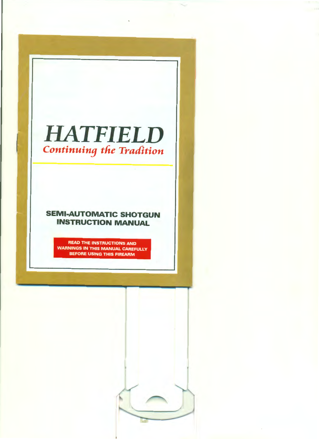# **HATFIELD** *Continuing the Tradition*

## **SEMI-AUTOMATIC SHOTGUN INSTRUCTION MANUAL**

READ THE INSTRUCTIONS AND WARNINGS IN THIS MANUAL CAREFULLY BEFORE USING THIS FIREARM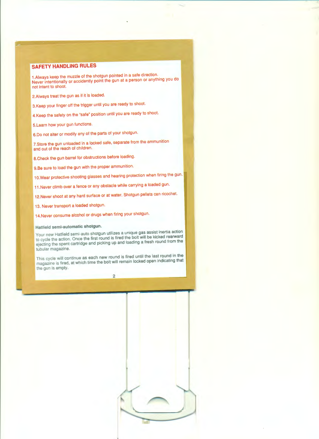### **SAFETY HANDLING RULES**

1.Always keep the muzzle of the shotgun pointed in a safe direction. Never intentionally or accidently point the gun at a person or anything you do not intent to shoot.

2.Always treat the gun as if it is loaded.

3.Keep your finger off the trigger until you are ready to shoot.

4.Keep the safety on the "safe" position until you are ready to shoot.

5. Learn how your gun functions.

6.Do not alter or modify any of the parts of your shotgun.

?.Store the gun unloaded in a locked safe, separate from the ammunition and out of the reach of children.

8. Check the gun barrel for obstructions before loading.

9.Be sure to load the gun with the proper ammunition.

10. Wear protective shooting glasses and hearing protection when firing the gun.

11 .Never climb over a fence or any obstacle while carrying a loaded gun.

12.Never shoot at any hard surface or at water. Shotgun pellets can ricochet.

13. Never transport a loaded shotgun.

14.Never consume alcohol or drugs when firing your shotgun.

#### **Hatfield semi-automatic shotgun.**

Your new Hatfield semi-auto shotgun utilizes a unique gas assist inertia action to cycle the action. Once the first round is fired the bolt will be kicked rearward ejecting the spent cartridge and picking up and loading a fresh round from the tubular magazine.

This cycle will continue as each new round is fired until the last round in the magazine is fired, at which time the bolt will remain locked open indicating that the gun is empty.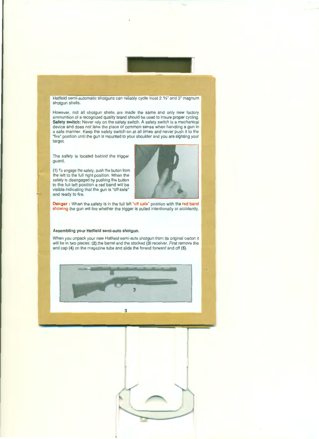Hatfield semi-automatic shotguns can reliably cycle most 2 %" and 3" magnum shotgun shells.

However, not all shotgun shells are made the same and only new factory ammunition of a recognized quality brand should be used to insure proper cycling. **Safety switch:** Never rely on the safety switch. A safety switch is a mechanical device and does not take the place of common sense when handling a gun in a safe manner. Keep the safety switch on at all times and never push it to the "fire" position until the gun is mounted to your shoulder and you are sighting your target.

The safety is located behind the trigger guard.

**(1)** To engage the safety, push the button from the left to the full right position. When the safety is disengaged by pushing the button to the full left position a red band will be visible indicating that the gun is "off safe" and ready to fire.



**Danger :** When the safety is in the full left "off safe" position with the red band showing the gun will fire whether the trigger is pulled intentionally or accidently.

#### **Assembling your Hatfield semi-auto shotgun.**

When you unpack your new Hatfield semi-auto shotgun from its original carton it will be in two pieces: (2) the barrel and the stocked (3) receiver. First remove the end cap **(4)** on the magazine tube and slide the forend forward and off (5).

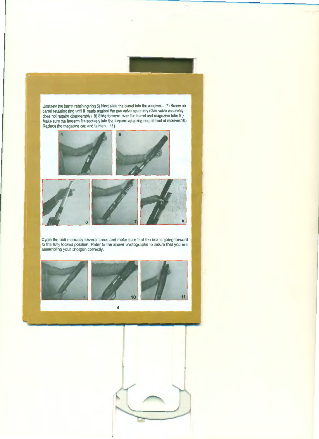Unscrew the barrel retaining ring 6) Next slide the barrel into the receiver..... 7) Screw on barrel retaining ring until it seats against the gas valve assembly (Gas valve assembly does not require disassembly) 8) Slide forearm over the barrel and magazine tube 9 ) Make sure the forearm fits securely into the forearm retaining ring at front of receiver.10) Replace the magazine cap and tighten....11)



Cycle the bolt manually several times and make sure that the bolt is going forward to the fully locked position. Refer to the above photographs to insure that you are assembling your shotgun correctly.



4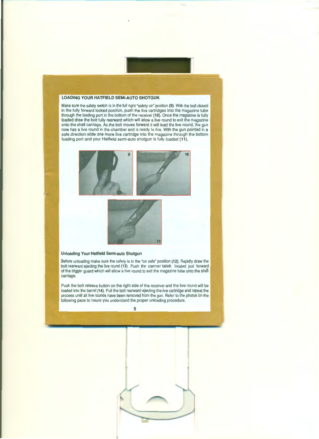#### **LOADING YOUR HATFIELD SEMI-AUTO SHOTGUN.**

Make sure the safety switch is in the full right "safety on" position (9). With the bolt closed in the fully forward locked position, push the live cartridges into the magazine tube through the loading port in the bottom of the receiver **(10).** Once the magazine is fully loaded draw the bolt fully rearward which will allow a live round to exit the magazine onto the shell carriage. As the bolt moves forward it will load the live round, the gun now has a live round in the chamber and is ready to fire. With the gun pointed in a safe direction slide one more live cartridge into the magazine through the bottom loading port and your Hatfield semi-auto shotgun is fully loaded **(11** ).





#### **Unloading Your Hatfield Semi-auto Shotgun**

Before unloading make sure the safety is in the "on safe" position **(12).** Rapidly draw the bolt rearward ejecting the live round (13). Push the carrier latek located just forward of the trigger guard which will allow a live round to exit the magazine tube onto the shell carriage.

Push the bolt release button on the right side of the receiver and the live round will be loaded into the barrel **(14).** Pull the bolt rearward ejecting the live cartridge and repeat the process until all live rounds have been removed from the gun. Refer to the photos on the following pace to insure you understand the proper unloading procedure.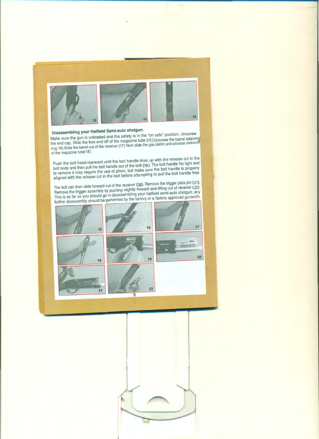

## **Disassembling your Hatfield Semi-auto shotgun.**

Make sure the gun is unloaded and the safety is in the "on safe" position. Unscrew the end cap. Slide the fore-end off of the magazine tube (15)Unscrew the barrel retaining ring 16) Slide the barrel out of the receiver (17) Next slide the gas piston, and actionbar sleeve off of the magazine tube(18)

Push the bolt head rearward until the bolt handle lines up with the release cut in the bolt body and then pull the bolt handle out of the bolt (19). The bolt handle fits tight and to remove it may require the use of pliers, but make sure the bolt handle is properly aligned with the release cut in the bolt before attempting to pull the bolt handle free.

The bolt can then slide forward out of the receiver (20). Remove the trigger plate pin (21). Remove the trigger assembly by pushing slightly forward and lifting out of receiver (22). This is as far as you should go in disassembling your hatfield semi-auto shotgun; any further disassembly should be performed by the factory or a factory approved gunsmith.

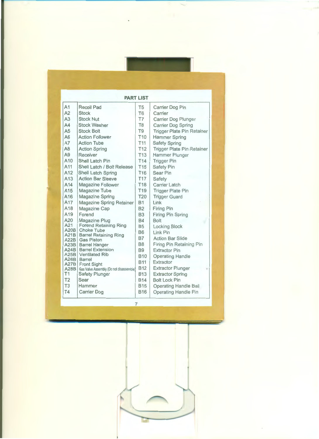| <b>PART LIST</b>                                              |                                                                                                                                                                                                                               |                                                                                                       |                                                                                                                                                                                              |  |  |
|---------------------------------------------------------------|-------------------------------------------------------------------------------------------------------------------------------------------------------------------------------------------------------------------------------|-------------------------------------------------------------------------------------------------------|----------------------------------------------------------------------------------------------------------------------------------------------------------------------------------------------|--|--|
| A <sub>1</sub>                                                | Recoil Pad                                                                                                                                                                                                                    | T <sub>5</sub>                                                                                        | Carrier Dog Pin                                                                                                                                                                              |  |  |
| A2                                                            | <b>Stock</b>                                                                                                                                                                                                                  | T <sub>6</sub>                                                                                        | Carrier                                                                                                                                                                                      |  |  |
| A3                                                            | <b>Stock Nut</b>                                                                                                                                                                                                              | T7                                                                                                    | Carrier Dog Plunger                                                                                                                                                                          |  |  |
| AA                                                            | <b>Stock Washer</b>                                                                                                                                                                                                           | T <sub>8</sub>                                                                                        | <b>Carrier Dog Spring</b>                                                                                                                                                                    |  |  |
| A <sub>5</sub>                                                | <b>Stock Bolt</b>                                                                                                                                                                                                             | T <sub>9</sub>                                                                                        | <b>Trigger Plate Pin Retainer</b>                                                                                                                                                            |  |  |
| A6                                                            | <b>Action Follower</b>                                                                                                                                                                                                        | T <sub>10</sub>                                                                                       | <b>Hammer Spring</b>                                                                                                                                                                         |  |  |
| A7                                                            | <b>Action Tube</b>                                                                                                                                                                                                            | T <sub>11</sub>                                                                                       | <b>Safety Spring</b>                                                                                                                                                                         |  |  |
| A8                                                            | <b>Action Spring</b>                                                                                                                                                                                                          | <b>T12</b>                                                                                            | <b>Trigger Plate Pin Retainer</b>                                                                                                                                                            |  |  |
| A9                                                            | Receiver                                                                                                                                                                                                                      | <b>T13</b>                                                                                            | Hammer Plunger                                                                                                                                                                               |  |  |
| A10                                                           | Shell Latch Pin                                                                                                                                                                                                               | <b>T14</b>                                                                                            | <b>Trigger Pin</b>                                                                                                                                                                           |  |  |
| A11                                                           | Shell Latch / Bolt Release                                                                                                                                                                                                    | <b>T15</b>                                                                                            | Safety Pin                                                                                                                                                                                   |  |  |
| A <sub>12</sub>                                               | Shell Latch Spring                                                                                                                                                                                                            | <b>T16</b>                                                                                            | Sear Pin                                                                                                                                                                                     |  |  |
| A <sub>13</sub>                                               | <b>Action Bar Sleeve</b>                                                                                                                                                                                                      | <b>T17</b>                                                                                            | Safety                                                                                                                                                                                       |  |  |
| A14                                                           | Magazine Follower                                                                                                                                                                                                             | <b>T18</b>                                                                                            | <b>Carrier Latch</b>                                                                                                                                                                         |  |  |
| A <sub>15</sub>                                               | Magazine Tube                                                                                                                                                                                                                 | T <sub>19</sub>                                                                                       | <b>Trigger Plate Pin</b>                                                                                                                                                                     |  |  |
| A <sub>16</sub>                                               | <b>Magazine Spring</b>                                                                                                                                                                                                        | T20                                                                                                   | <b>Trigger Guard</b>                                                                                                                                                                         |  |  |
| A17                                                           | Magazine Spring Retainer                                                                                                                                                                                                      | <b>B1</b>                                                                                             | Link                                                                                                                                                                                         |  |  |
| A <sub>18</sub>                                               | Magazine Cap                                                                                                                                                                                                                  | <b>B2</b>                                                                                             | <b>Firing Pin</b>                                                                                                                                                                            |  |  |
| A <sub>19</sub><br>A20<br>A21                                 | Forend<br>Magazine Plug<br><b>Forend Retaining Ring</b><br>A20B Choke Tube<br>A21B Barrel Retaining Ring<br>A22B Gas Piston<br>A23B   Barrel Hanger<br><b>A24B   Barrel Extension</b><br>A25B   Ventilated Rib<br>A26B Barrel | <b>B3</b><br><b>B4</b><br><b>B5</b><br><b>B6</b><br><b>B7</b><br><b>B8</b><br><b>B9</b><br><b>B10</b> | <b>Firing Pin Spring</b><br><b>Bolt</b><br><b>Locking Block</b><br><b>Link Pin</b><br><b>Action Bar Slide</b><br>Firing Pin Retaining Pin<br><b>Extractor Pin</b><br><b>Operating Handle</b> |  |  |
| <b>A28B</b><br>T1<br>T <sub>2</sub><br><b>T3</b><br><b>T4</b> | A27B   Front Sight<br>Gas Valve Assembly (Do not disassemble)<br><b>Safety Plunger</b><br>Sear<br>Hammer<br><b>Carrier Dog</b>                                                                                                | <b>B11</b><br><b>B12</b><br><b>B13</b><br><b>B14</b><br><b>B15</b><br><b>B16</b>                      | Extractor<br><b>Extractor Plunger</b><br><b>Extractor Spring</b><br><b>Bolt Lock Pin</b><br><b>Operating Handle Ball</b><br><b>Operating Handle Pin</b>                                      |  |  |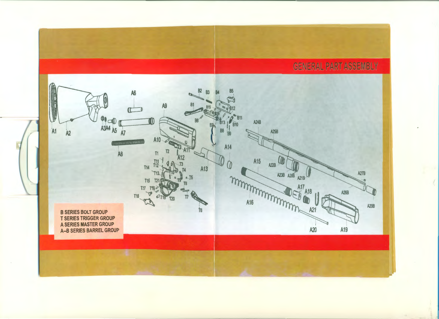**GENERAL PART ASSEMBLY** 

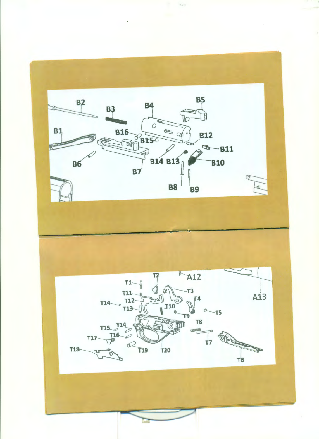

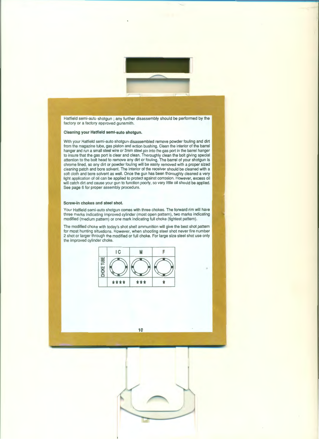Hatfield semi-auto shotgun ; any further disassembly should be performed by the factory or a factory approved gunsmith.

#### **Cleaning your Hatfield semi-auto shotgun.**

With your Hatfield semi-auto shotgun disassembled remove powder fouling and dirt from the magazine tube, gas piston and action bushing. Clean the interior of the barrel hanger and run a small steel wire or 3mm steel pin into the gas port in the barrel hanger to insure that the gas port is clear and clean. Thoroughly clean the bolt giving special attention to the bolt head to remove any dirt or fouling. The barrel of your shotgun is chrome lined, so any dirt or powder fouling will be easily removed with a proper sized cleaning patch and bore solvent. The interior of the receiver should be cleaned with a soft cloth and bore solvent as well. Once the gun has been thoroughly cleaned a very light application of oil can be applied to protect against corrosion. However, excess oil will catch dirt and cause your gun to function poorly, so very little oil should be applied. See page 6 for proper assembly procedure.

#### **Screw-in chokes and steel shot.**

Your Hatfield semi-auto shotgun comes with three chokes. The forward rim will have three marks indicating improved cylinder (most open pattern), two marks indicating modified (medium pattern) or one mark indicating full choke (tightest pattern).

The modified choke with today's shot shell ammunition will give the best shot pattern for most hunting situations. However, when shooting steel shot never fire number 2 shot or larger through the modified or full choke. For large size steel shot use only the improved cylinder choke.



**10**